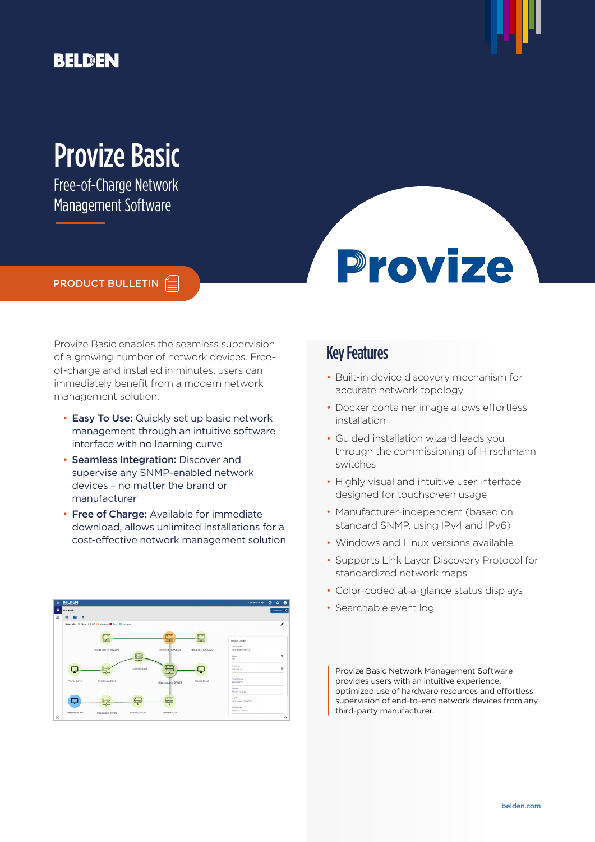# **BELDEN**



# Provize Basic

Free-of-Charge Network Management Software

## PRODUCT BULLETIN

Provize Basic enables the seamless supervision of a growing number of network devices. Freeof-charge and installed in minutes, users can immediately benefit from a modern network management solution.

- Easy To Use: Quickly set up basic network management through an intuitive software interface with no learning curve
- Seamless Integration: Discover and supervise any SNMP-enabled network devices – no matter the brand or manufacturer
- Free of Charge: Available for immediate download, allows unlimited installations for a cost-effective network management solution



## Key Features

• Built-in device discovery mechanism for accurate network topology

**Provize** 

- Docker container image allows effortless installation
- Guided installation wizard leads you through the commissioning of Hirschmann switches
- Highly visual and intuitive user interface designed for touchscreen usage
- Manufacturer-independent (based on standard SNMP, using IPv4 and IPv6)
- Windows and Linux versions available
- Supports Link Layer Discovery Protocol for standardized network maps
- Color-coded at-a-glance status displays
- Searchable event log

Provize Basic Network Management Software provides users with an intuitive experience, optimized use of hardware resources and effortless supervision of end-to-end network devices from any third-party manufacturer.